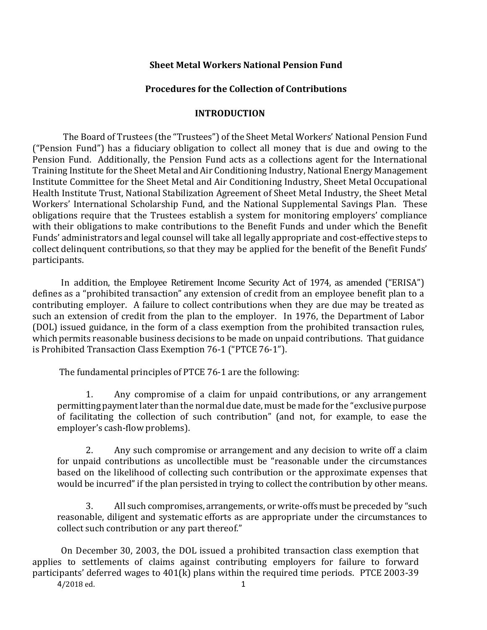#### **Procedures for the Collection of Contributions**

#### **INTRODUCTION**

The Board of Trustees (the "Trustees") of the Sheet Metal Workers' National Pension Fund ("Pension Fund") has a fiduciary obligation to collect all money that is due and owing to the Pension Fund. Additionally, the Pension Fund acts as a collections agent for the International Training Institute for the Sheet Metal and Air Conditioning Industry, National Energy Management Institute Committee for the Sheet Metal and Air Conditioning Industry, Sheet Metal Occupational Health Institute Trust, National Stabilization Agreement of Sheet Metal Industry, the Sheet Metal Workers' International Scholarship Fund, and the National Supplemental Savings Plan. These obligations require that the Trustees establish a system for monitoring employers' compliance with their obligations to make contributions to the Benefit Funds and under which the Benefit Funds' administrators and legal counsel will take all legally appropriate and cost-effective steps to collect delinquent contributions, so that they may be applied for the benefit of the Benefit Funds' participants.

In addition, the Employee Retirement Income Security Act of 1974, as amended ("ERISA") defines as a "prohibited transaction" any extension of credit from an employee benefit plan to a contributing employer. A failure to collect contributions when they are due may be treated as such an extension of credit from the plan to the employer. In 1976, the Department of Labor (DOL) issued guidance, in the form of a class exemption from the prohibited transaction rules, which permits reasonable business decisions to be made on unpaid contributions. That guidance is Prohibited Transaction Class Exemption 76-1 ("PTCE 76-1").

The fundamental principles of PTCE 76-1 are the following:

1. Any compromise of a claim for unpaid contributions, or any arrangement permittingpayment later than the normal due date, must be made for the "exclusive purpose of facilitating the collection of such contribution" (and not, for example, to ease the employer's cash-flow problems).

2. Any such compromise or arrangement and any decision to write off a claim for unpaid contributions as uncollectible must be "reasonable under the circumstances based on the likelihood of collecting such contribution or the approximate expenses that would be incurred" if the plan persisted in trying to collect the contribution by other means.

3. All such compromises, arrangements, or write-offs must be preceded by "such reasonable, diligent and systematic efforts as are appropriate under the circumstances to collect such contribution or any part thereof."

On December 30, 2003, the DOL issued a prohibited transaction class exemption that applies to settlements of claims against contributing employers for failure to forward participants' deferred wages to 401(k) plans within the required time periods. PTCE 2003-39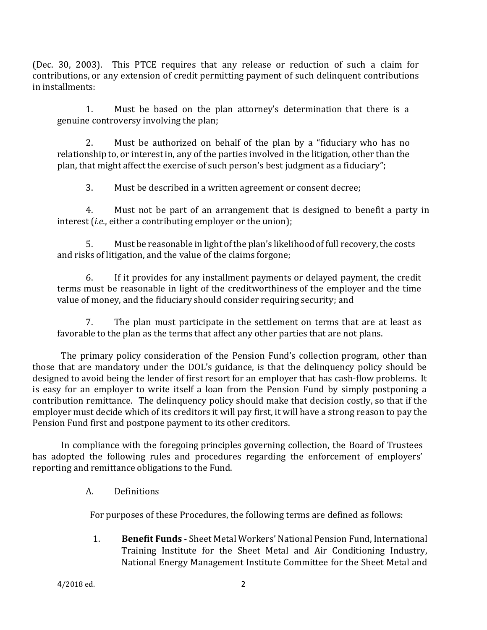(Dec. 30, 2003). This PTCE requires that any release or reduction of such a claim for contributions, or any extension of credit permitting payment of such delinquent contributions in installments:

1. Must be based on the plan attorney's determination that there is a genuine controversy involving the plan;

2. Must be authorized on behalf of the plan by a "fiduciary who has no relationship to, or interest in, any of the parties involved in the litigation, other than the plan, that might affect the exercise of such person's best judgment as a fiduciary";

3. Must be described in a written agreement or consent decree;

4. Must not be part of an arrangement that is designed to benefit a party in interest (*i.e.*, either a contributing employer or the union);

5. Must be reasonable in light of the plan's likelihood of full recovery, the costs and risks of litigation, and the value of the claims forgone;

6. If it provides for any installment payments or delayed payment, the credit terms must be reasonable in light of the creditworthiness of the employer and the time value of money, and the fiduciary should consider requiring security; and

7. The plan must participate in the settlement on terms that are at least as favorable to the plan as the terms that affect any other parties that are not plans.

The primary policy consideration of the Pension Fund's collection program, other than those that are mandatory under the DOL's guidance, is that the delinquency policy should be designed to avoid being the lender of first resort for an employer that has cash-flow problems. It is easy for an employer to write itself a loan from the Pension Fund by simply postponing a contribution remittance. The delinquency policy should make that decision costly, so that if the employer must decide which of its creditors it will pay first, it will have a strong reason to pay the Pension Fund first and postpone payment to its other creditors.

In compliance with the foregoing principles governing collection, the Board of Trustees has adopted the following rules and procedures regarding the enforcement of employers' reporting and remittance obligations to the Fund.

A. Definitions

For purposes of these Procedures, the following terms are defined as follows:

1. **Benefit Funds** - Sheet Metal Workers' National Pension Fund, International Training Institute for the Sheet Metal and Air Conditioning Industry, National Energy Management Institute Committee for the Sheet Metal and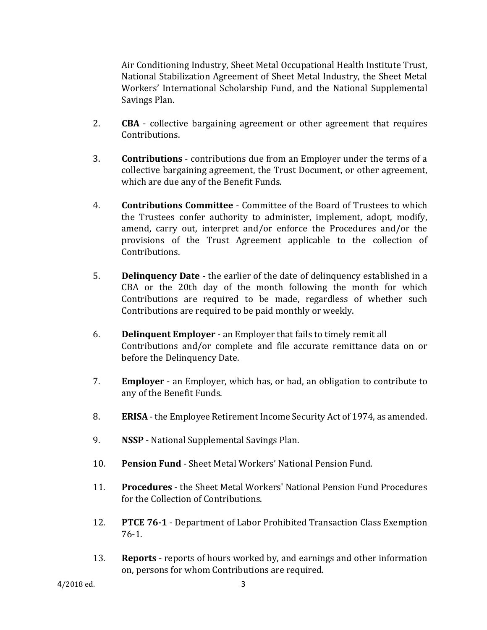Air Conditioning Industry, Sheet Metal Occupational Health Institute Trust, National Stabilization Agreement of Sheet Metal Industry, the Sheet Metal Workers' International Scholarship Fund, and the National Supplemental Savings Plan.

- 2. **CBA**  collective bargaining agreement or other agreement that requires Contributions.
- 3. **Contributions** contributions due from an Employer under the terms of a collective bargaining agreement, the Trust Document, or other agreement, which are due any of the Benefit Funds.
- 4. **Contributions Committee** Committee of the Board of Trustees to which the Trustees confer authority to administer, implement, adopt, modify, amend, carry out, interpret and/or enforce the Procedures and/or the provisions of the Trust Agreement applicable to the collection of Contributions.
- 5. **Delinquency Date** the earlier of the date of delinquency established in a CBA or the 20th day of the month following the month for which Contributions are required to be made, regardless of whether such Contributions are required to be paid monthly or weekly.
- 6. **Delinquent Employer**  an Employer that fails to timely remit all Contributions and/or complete and file accurate remittance data on or before the Delinquency Date.
- 7. **Employer**  an Employer, which has, or had, an obligation to contribute to any of the Benefit Funds.
- 8. **ERISA**  the Employee Retirement Income Security Act of 1974, as amended.
- 9. **NSSP** National Supplemental Savings Plan.
- 10. **Pension Fund** Sheet Metal Workers' National Pension Fund.
- 11. **Procedures** the Sheet Metal Workers' National Pension Fund Procedures for the Collection of Contributions.
- 12. **PTCE 76-1** Department of Labor Prohibited Transaction Class Exemption 76-1.
- 13. **Reports** reports of hours worked by, and earnings and other information on, persons for whom Contributions are required.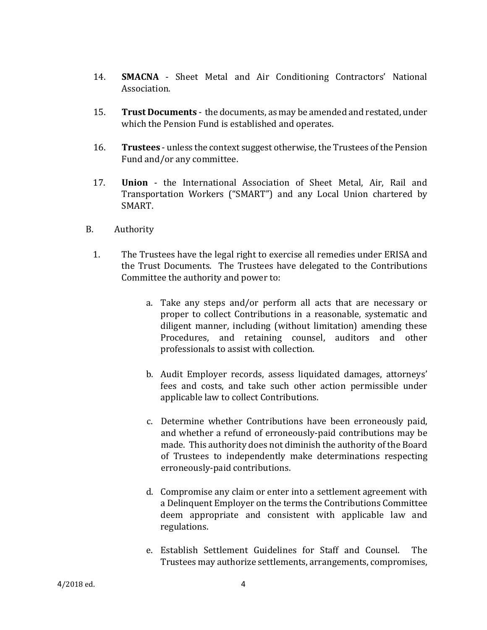- 14. **SMACNA** Sheet Metal and Air Conditioning Contractors' National Association.
- 15. **Trust Documents** the documents, as may be amended and restated, under which the Pension Fund is established and operates.
- 16. **Trustees** unless the context suggest otherwise, the Trustees of the Pension Fund and/or any committee.
- 17. **Union** the International Association of Sheet Metal, Air, Rail and Transportation Workers ("SMART") and any Local Union chartered by SMART.
- B. Authority
	- 1. The Trustees have the legal right to exercise all remedies under ERISA and the Trust Documents. The Trustees have delegated to the Contributions Committee the authority and power to:
		- a. Take any steps and/or perform all acts that are necessary or proper to collect Contributions in a reasonable, systematic and diligent manner, including (without limitation) amending these Procedures, and retaining counsel, auditors and other professionals to assist with collection.
		- b. Audit Employer records, assess liquidated damages, attorneys' fees and costs, and take such other action permissible under applicable law to collect Contributions.
		- c. Determine whether Contributions have been erroneously paid, and whether a refund of erroneously-paid contributions may be made. This authority does not diminish the authority of the Board of Trustees to independently make determinations respecting erroneously-paid contributions.
		- d. Compromise any claim or enter into a settlement agreement with a Delinquent Employer on the terms the Contributions Committee deem appropriate and consistent with applicable law and regulations.
		- e. Establish Settlement Guidelines for Staff and Counsel. The Trustees may authorize settlements, arrangements, compromises,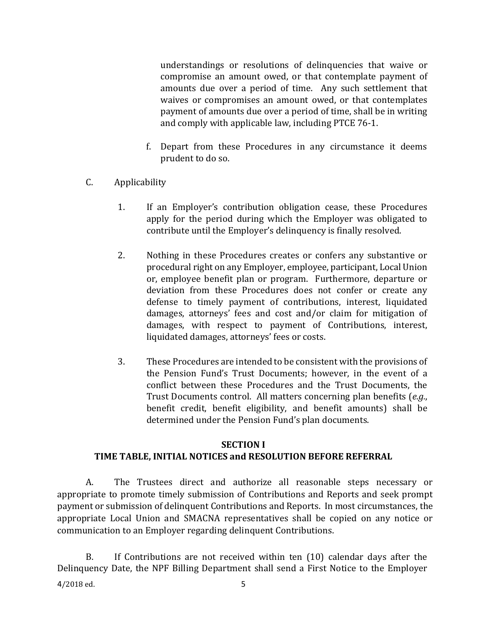understandings or resolutions of delinquencies that waive or compromise an amount owed, or that contemplate payment of amounts due over a period of time. Any such settlement that waives or compromises an amount owed, or that contemplates payment of amounts due over a period of time, shall be in writing and comply with applicable law, including PTCE 76-1.

- f. Depart from these Procedures in any circumstance it deems prudent to do so.
- C. Applicability
	- 1. If an Employer's contribution obligation cease, these Procedures apply for the period during which the Employer was obligated to contribute until the Employer's delinquency is finally resolved.
	- 2. Nothing in these Procedures creates or confers any substantive or procedural right on any Employer, employee, participant, Local Union or, employee benefit plan or program. Furthermore, departure or deviation from these Procedures does not confer or create any defense to timely payment of contributions, interest, liquidated damages, attorneys' fees and cost and/or claim for mitigation of damages, with respect to payment of Contributions, interest, liquidated damages, attorneys' fees or costs.
	- 3. These Procedures are intended to be consistent with the provisions of the Pension Fund's Trust Documents; however, in the event of a conflict between these Procedures and the Trust Documents, the Trust Documents control. All matters concerning plan benefits (*e.g.*, benefit credit, benefit eligibility, and benefit amounts) shall be determined under the Pension Fund's plan documents.

# **SECTION I**

## **TIME TABLE, INITIAL NOTICES and RESOLUTION BEFORE REFERRAL**

A. The Trustees direct and authorize all reasonable steps necessary or appropriate to promote timely submission of Contributions and Reports and seek prompt payment or submission of delinquent Contributions and Reports. In most circumstances, the appropriate Local Union and SMACNA representatives shall be copied on any notice or communication to an Employer regarding delinquent Contributions.

B. If Contributions are not received within ten (10) calendar days after the Delinquency Date, the NPF Billing Department shall send a First Notice to the Employer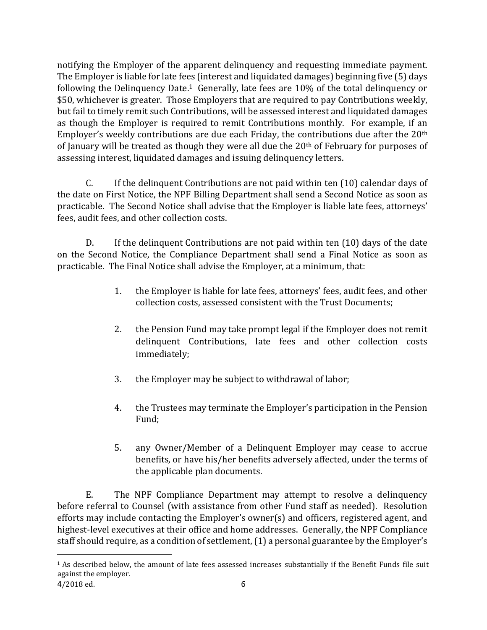notifying the Employer of the apparent delinquency and requesting immediate payment. The Employer is liable for late fees (interest and liquidated damages) beginning five (5) days following the Delinquency Date.<sup>1</sup> Generally, late fees are 10% of the total delinquency or \$50, whichever is greater. Those Employers that are required to pay Contributions weekly, but fail to timely remit such Contributions, will be assessed interest and liquidated damages as though the Employer is required to remit Contributions monthly. For example, if an Employer's weekly contributions are due each Friday, the contributions due after the 20<sup>th</sup> of January will be treated as though they were all due the  $20<sup>th</sup>$  of February for purposes of assessing interest, liquidated damages and issuing delinquency letters.

C. If the delinquent Contributions are not paid within ten (10) calendar days of the date on First Notice, the NPF Billing Department shall send a Second Notice as soon as practicable. The Second Notice shall advise that the Employer is liable late fees, attorneys' fees, audit fees, and other collection costs.

D. If the delinquent Contributions are not paid within ten (10) days of the date on the Second Notice, the Compliance Department shall send a Final Notice as soon as practicable. The Final Notice shall advise the Employer, at a minimum, that:

- 1. the Employer is liable for late fees, attorneys' fees, audit fees, and other collection costs, assessed consistent with the Trust Documents;
- 2. the Pension Fund may take prompt legal if the Employer does not remit delinquent Contributions, late fees and other collection costs immediately;
- 3. the Employer may be subject to withdrawal of labor;
- 4. the Trustees may terminate the Employer's participation in the Pension Fund;
- 5. any Owner/Member of a Delinquent Employer may cease to accrue benefits, or have his/her benefits adversely affected, under the terms of the applicable plan documents.

E. The NPF Compliance Department may attempt to resolve a delinquency before referral to Counsel (with assistance from other Fund staff as needed). Resolution efforts may include contacting the Employer's owner(s) and officers, registered agent, and highest-level executives at their office and home addresses. Generally, the NPF Compliance staff should require, as a condition of settlement, (1) a personal guarantee by the Employer's

l

<sup>1</sup> As described below, the amount of late fees assessed increases substantially if the Benefit Funds file suit against the employer.

<sup>4</sup>/2018 ed. 6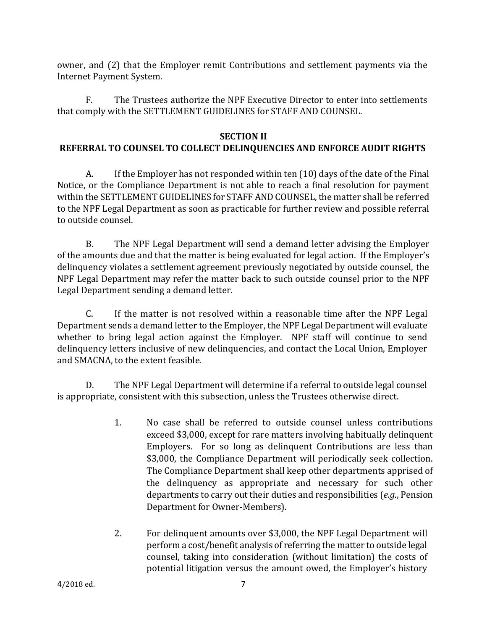owner, and (2) that the Employer remit Contributions and settlement payments via the Internet Payment System.

F. The Trustees authorize the NPF Executive Director to enter into settlements that comply with the SETTLEMENT GUIDELINES for STAFF AND COUNSEL.

#### **SECTION II**

#### **REFERRAL TO COUNSEL TO COLLECT DELINQUENCIES AND ENFORCE AUDIT RIGHTS**

A. If the Employer has not responded within ten (10) days of the date of the Final Notice, or the Compliance Department is not able to reach a final resolution for payment within the SETTLEMENT GUIDELINES for STAFF AND COUNSEL, the matter shall be referred to the NPF Legal Department as soon as practicable for further review and possible referral to outside counsel.

B. The NPF Legal Department will send a demand letter advising the Employer of the amounts due and that the matter is being evaluated for legal action. If the Employer's delinquency violates a settlement agreement previously negotiated by outside counsel, the NPF Legal Department may refer the matter back to such outside counsel prior to the NPF Legal Department sending a demand letter.

C. If the matter is not resolved within a reasonable time after the NPF Legal Department sends a demand letter to the Employer, the NPF Legal Department will evaluate whether to bring legal action against the Employer. NPF staff will continue to send delinquency letters inclusive of new delinquencies, and contact the Local Union, Employer and SMACNA, to the extent feasible.

D. The NPF Legal Department will determine if a referral to outside legal counsel is appropriate, consistent with this subsection, unless the Trustees otherwise direct.

- 1. No case shall be referred to outside counsel unless contributions exceed \$3,000, except for rare matters involving habitually delinquent Employers. For so long as delinquent Contributions are less than \$3,000, the Compliance Department will periodically seek collection. The Compliance Department shall keep other departments apprised of the delinquency as appropriate and necessary for such other departments to carry out their duties and responsibilities (*e.g.*, Pension Department for Owner-Members).
- 2. For delinquent amounts over \$3,000, the NPF Legal Department will perform a cost/benefit analysis of referring the matter to outside legal counsel, taking into consideration (without limitation) the costs of potential litigation versus the amount owed, the Employer's history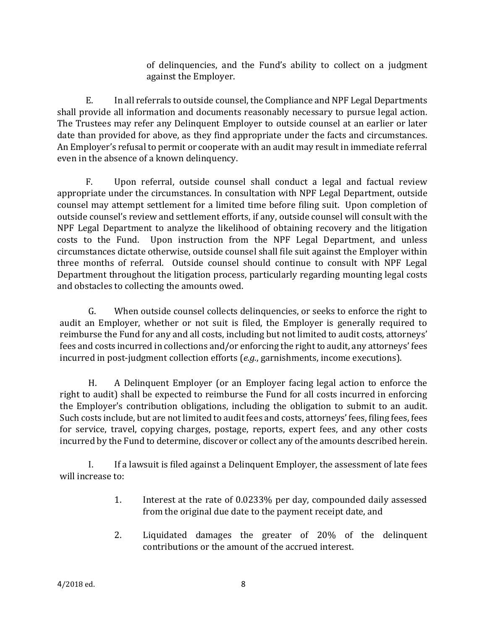of delinquencies, and the Fund's ability to collect on a judgment against the Employer.

E. In all referrals to outside counsel, the Compliance and NPF Legal Departments shall provide all information and documents reasonably necessary to pursue legal action. The Trustees may refer any Delinquent Employer to outside counsel at an earlier or later date than provided for above, as they find appropriate under the facts and circumstances. An Employer's refusal to permit or cooperate with an audit may result in immediate referral even in the absence of a known delinquency.

F. Upon referral, outside counsel shall conduct a legal and factual review appropriate under the circumstances. In consultation with NPF Legal Department, outside counsel may attempt settlement for a limited time before filing suit. Upon completion of outside counsel's review and settlement efforts, if any, outside counsel will consult with the NPF Legal Department to analyze the likelihood of obtaining recovery and the litigation costs to the Fund. Upon instruction from the NPF Legal Department, and unless circumstances dictate otherwise, outside counsel shall file suit against the Employer within three months of referral. Outside counsel should continue to consult with NPF Legal Department throughout the litigation process, particularly regarding mounting legal costs and obstacles to collecting the amounts owed.

G. When outside counsel collects delinquencies, or seeks to enforce the right to audit an Employer, whether or not suit is filed, the Employer is generally required to reimburse the Fund for any and all costs, including but not limited to audit costs, attorneys' fees and costs incurred in collections and/or enforcing the right to audit, any attorneys' fees incurred in post-judgment collection efforts (*e.g.*, garnishments, income executions).

H. A Delinquent Employer (or an Employer facing legal action to enforce the right to audit) shall be expected to reimburse the Fund for all costs incurred in enforcing the Employer's contribution obligations, including the obligation to submit to an audit. Such costs include, but are not limited to audit fees and costs, attorneys' fees, filing fees, fees for service, travel, copying charges, postage, reports, expert fees, and any other costs incurred by the Fund to determine, discover or collect any of the amounts described herein.

I. If a lawsuit is filed against a Delinquent Employer, the assessment of late fees will increase to:

- 1. Interest at the rate of 0.0233% per day, compounded daily assessed from the original due date to the payment receipt date, and
- 2. Liquidated damages the greater of 20% of the delinquent contributions or the amount of the accrued interest.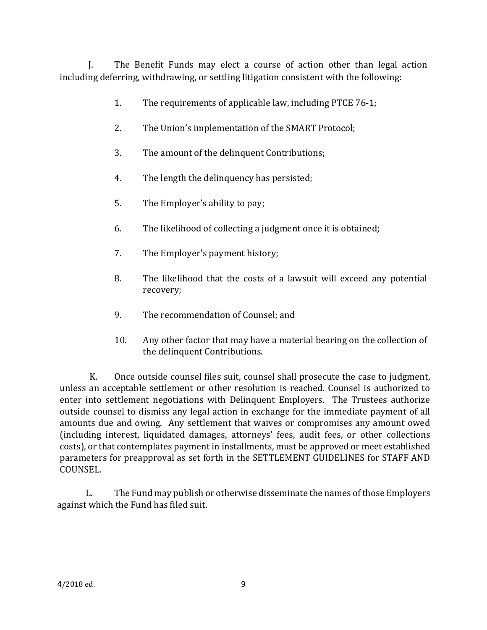J. The Benefit Funds may elect a course of action other than legal action including deferring, withdrawing, or settling litigation consistent with the following:

- 1. The requirements of applicable law, including PTCE 76-1;
- 2. The Union's implementation of the SMART Protocol;
- 3. The amount of the delinquent Contributions;
- 4. The length the delinquency has persisted;
- 5. The Employer's ability to pay;
- 6. The likelihood of collecting a judgment once it is obtained;
- 7. The Employer's payment history;
- 8. The likelihood that the costs of a lawsuit will exceed any potential recovery;
- 9. The recommendation of Counsel; and
- 10. Any other factor that may have a material bearing on the collection of the delinquent Contributions.

K. Once outside counsel files suit, counsel shall prosecute the case to judgment, unless an acceptable settlement or other resolution is reached. Counsel is authorized to enter into settlement negotiations with Delinquent Employers. The Trustees authorize outside counsel to dismiss any legal action in exchange for the immediate payment of all amounts due and owing. Any settlement that waives or compromises any amount owed (including interest, liquidated damages, attorneys' fees, audit fees, or other collections costs), or that contemplates payment in installments, must be approved or meet established parameters for preapproval as set forth in the SETTLEMENT GUIDELINES for STAFF AND COUNSEL.

L. The Fund may publish or otherwise disseminate the names of those Employers against which the Fund has filed suit.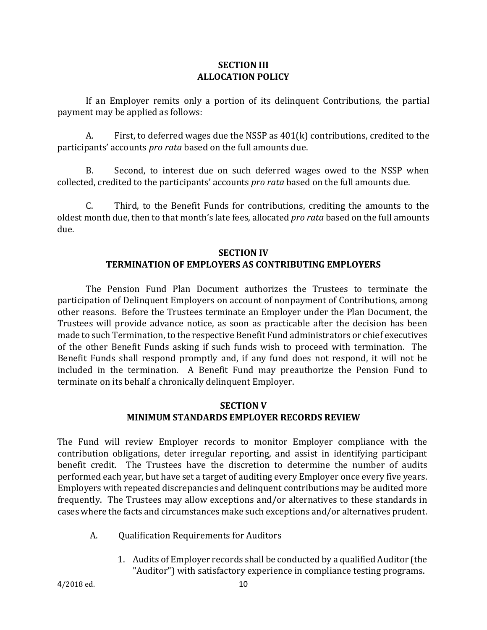#### **SECTION III ALLOCATION POLICY**

If an Employer remits only a portion of its delinquent Contributions, the partial payment may be applied as follows:

A. First, to deferred wages due the NSSP as 401(k) contributions, credited to the participants' accounts *pro rata* based on the full amounts due.

B. Second, to interest due on such deferred wages owed to the NSSP when collected, credited to the participants' accounts *pro rata* based on the full amounts due.

C. Third, to the Benefit Funds for contributions, crediting the amounts to the oldest month due, then to that month's late fees, allocated *pro rata* based on the full amounts due.

#### **SECTION IV TERMINATION OF EMPLOYERS AS CONTRIBUTING EMPLOYERS**

The Pension Fund Plan Document authorizes the Trustees to terminate the participation of Delinquent Employers on account of nonpayment of Contributions, among other reasons. Before the Trustees terminate an Employer under the Plan Document, the Trustees will provide advance notice, as soon as practicable after the decision has been made to such Termination, to the respective Benefit Fund administrators or chief executives of the other Benefit Funds asking if such funds wish to proceed with termination. The Benefit Funds shall respond promptly and, if any fund does not respond, it will not be included in the termination. A Benefit Fund may preauthorize the Pension Fund to terminate on its behalf a chronically delinquent Employer.

### **SECTION V MINIMUM STANDARDS EMPLOYER RECORDS REVIEW**

The Fund will review Employer records to monitor Employer compliance with the contribution obligations, deter irregular reporting, and assist in identifying participant benefit credit. The Trustees have the discretion to determine the number of audits performed each year, but have set a target of auditing every Employer once every five years. Employers with repeated discrepancies and delinquent contributions may be audited more frequently. The Trustees may allow exceptions and/or alternatives to these standards in cases where the facts and circumstances make such exceptions and/or alternatives prudent.

- A. Qualification Requirements for Auditors
	- 1. Audits of Employer records shall be conducted by a qualified Auditor (the "Auditor") with satisfactory experience in compliance testing programs.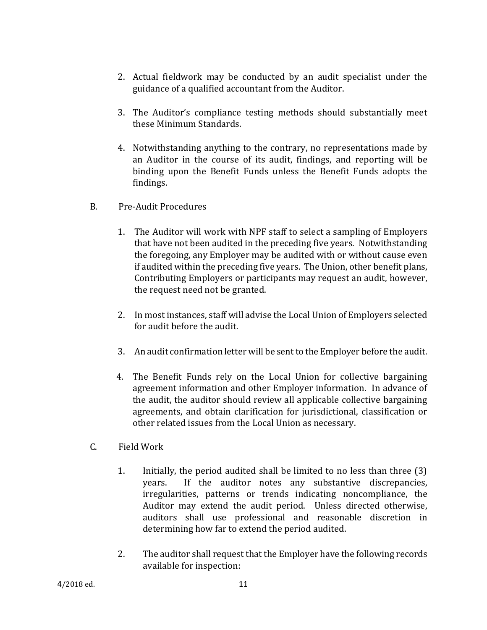- 2. Actual fieldwork may be conducted by an audit specialist under the guidance of a qualified accountant from the Auditor.
- 3. The Auditor's compliance testing methods should substantially meet these Minimum Standards.
- 4. Notwithstanding anything to the contrary, no representations made by an Auditor in the course of its audit, findings, and reporting will be binding upon the Benefit Funds unless the Benefit Funds adopts the findings.
- B. Pre-Audit Procedures
	- 1. The Auditor will work with NPF staff to select a sampling of Employers that have not been audited in the preceding five years. Notwithstanding the foregoing, any Employer may be audited with or without cause even if audited within the preceding five years. The Union, other benefit plans, Contributing Employers or participants may request an audit, however, the request need not be granted.
	- 2. In most instances, staff will advise the Local Union of Employers selected for audit before the audit.
	- 3. An audit confirmation letter will be sent to the Employer before the audit.
	- 4. The Benefit Funds rely on the Local Union for collective bargaining agreement information and other Employer information. In advance of the audit, the auditor should review all applicable collective bargaining agreements, and obtain clarification for jurisdictional, classification or other related issues from the Local Union as necessary.
- C. Field Work
	- 1. Initially, the period audited shall be limited to no less than three (3) years. If the auditor notes any substantive discrepancies, irregularities, patterns or trends indicating noncompliance, the Auditor may extend the audit period. Unless directed otherwise, auditors shall use professional and reasonable discretion in determining how far to extend the period audited.
	- 2. The auditor shall request that the Employer have the following records available for inspection: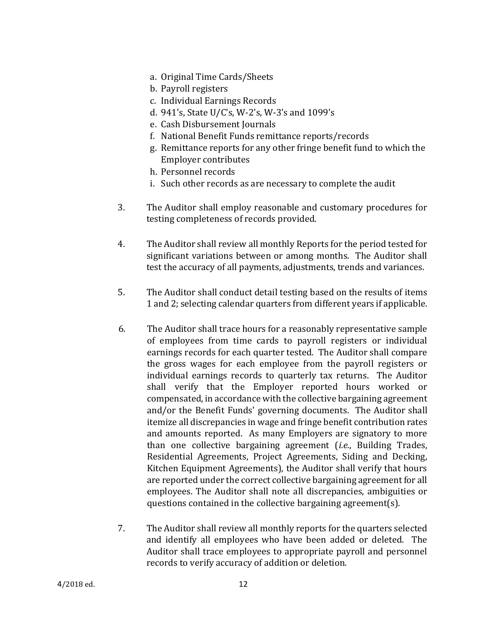- a. Original Time Cards/Sheets
- b. Payroll registers
- c. Individual Earnings Records
- d. 941's, State U/C's, W-2's, W-3's and 1099's
- e. Cash Disbursement Journals
- f. National Benefit Funds remittance reports/records
- g. Remittance reports for any other fringe benefit fund to which the Employer contributes
- h. Personnel records
- i. Such other records as are necessary to complete the audit
- 3. The Auditor shall employ reasonable and customary procedures for testing completeness of records provided.
- 4. The Auditor shall review all monthly Reports for the period tested for significant variations between or among months. The Auditor shall test the accuracy of all payments, adjustments, trends and variances.
- 5. The Auditor shall conduct detail testing based on the results of items 1 and 2; selecting calendar quarters from different years if applicable.
- 6. The Auditor shall trace hours for a reasonably representative sample of employees from time cards to payroll registers or individual earnings records for each quarter tested. The Auditor shall compare the gross wages for each employee from the payroll registers or individual earnings records to quarterly tax returns. The Auditor shall verify that the Employer reported hours worked or compensated, in accordance with the collective bargaining agreement and/or the Benefit Funds' governing documents. The Auditor shall itemize all discrepancies in wage and fringe benefit contribution rates and amounts reported. As many Employers are signatory to more than one collective bargaining agreement (*i.e.*, Building Trades, Residential Agreements, Project Agreements, Siding and Decking, Kitchen Equipment Agreements), the Auditor shall verify that hours are reported under the correct collective bargaining agreement for all employees. The Auditor shall note all discrepancies, ambiguities or questions contained in the collective bargaining agreement(s).
- 7. The Auditor shall review all monthly reports for the quarters selected and identify all employees who have been added or deleted. The Auditor shall trace employees to appropriate payroll and personnel records to verify accuracy of addition or deletion.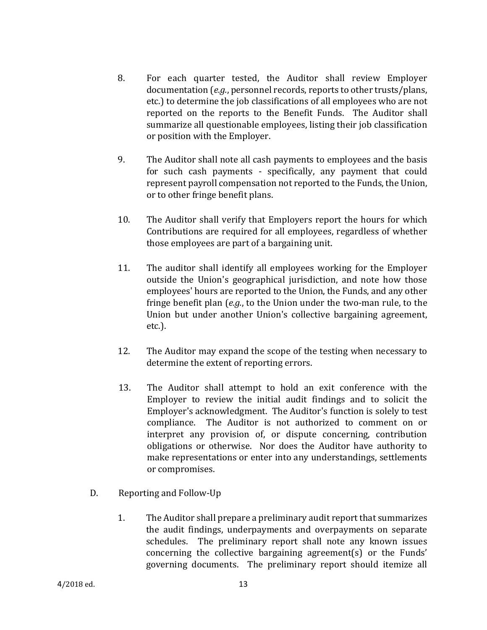- 8. For each quarter tested, the Auditor shall review Employer documentation (*e.g.*, personnel records, reports to other trusts/plans, etc.) to determine the job classifications of all employees who are not reported on the reports to the Benefit Funds. The Auditor shall summarize all questionable employees, listing their job classification or position with the Employer.
- 9. The Auditor shall note all cash payments to employees and the basis for such cash payments - specifically, any payment that could represent payroll compensation not reported to the Funds, the Union, or to other fringe benefit plans.
- 10. The Auditor shall verify that Employers report the hours for which Contributions are required for all employees, regardless of whether those employees are part of a bargaining unit.
- 11. The auditor shall identify all employees working for the Employer outside the Union's geographical jurisdiction, and note how those employees' hours are reported to the Union, the Funds, and any other fringe benefit plan (*e.g.*, to the Union under the two-man rule, to the Union but under another Union's collective bargaining agreement, etc.).
- 12. The Auditor may expand the scope of the testing when necessary to determine the extent of reporting errors.
- 13. The Auditor shall attempt to hold an exit conference with the Employer to review the initial audit findings and to solicit the Employer's acknowledgment. The Auditor's function is solely to test compliance. The Auditor is not authorized to comment on or interpret any provision of, or dispute concerning, contribution obligations or otherwise. Nor does the Auditor have authority to make representations or enter into any understandings, settlements or compromises.
- D. Reporting and Follow-Up
	- 1. The Auditor shall prepare a preliminary audit report that summarizes the audit findings, underpayments and overpayments on separate schedules. The preliminary report shall note any known issues concerning the collective bargaining agreement(s) or the Funds' governing documents. The preliminary report should itemize all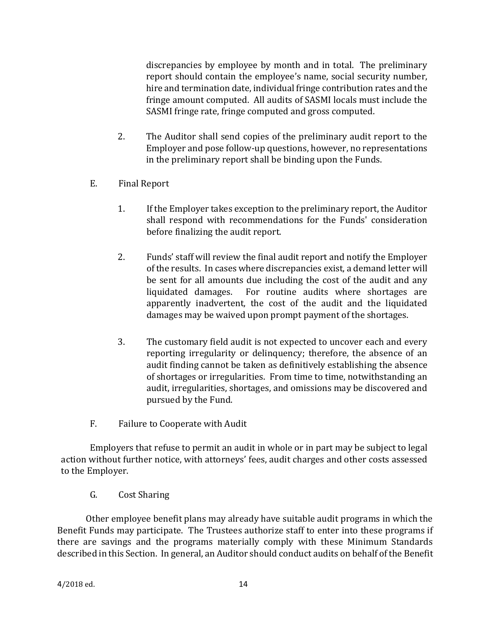discrepancies by employee by month and in total. The preliminary report should contain the employee's name, social security number, hire and termination date, individual fringe contribution rates and the fringe amount computed. All audits of SASMI locals must include the SASMI fringe rate, fringe computed and gross computed.

- 2. The Auditor shall send copies of the preliminary audit report to the Employer and pose follow-up questions, however, no representations in the preliminary report shall be binding upon the Funds.
- E. Final Report
	- 1. If the Employer takes exception to the preliminary report, the Auditor shall respond with recommendations for the Funds' consideration before finalizing the audit report.
	- 2. Funds' staff will review the final audit report and notify the Employer of the results. In cases where discrepancies exist, a demand letter will be sent for all amounts due including the cost of the audit and any liquidated damages. For routine audits where shortages are apparently inadvertent, the cost of the audit and the liquidated damages may be waived upon prompt payment of the shortages.
	- 3. The customary field audit is not expected to uncover each and every reporting irregularity or delinquency; therefore, the absence of an audit finding cannot be taken as definitively establishing the absence of shortages or irregularities. From time to time, notwithstanding an audit, irregularities, shortages, and omissions may be discovered and pursued by the Fund.
- F. Failure to Cooperate with Audit

Employers that refuse to permit an audit in whole or in part may be subject to legal action without further notice, with attorneys' fees, audit charges and other costs assessed to the Employer.

G. Cost Sharing

Other employee benefit plans may already have suitable audit programs in which the Benefit Funds may participate. The Trustees authorize staff to enter into these programs if there are savings and the programs materially comply with these Minimum Standards described in this Section. In general, an Auditor should conduct audits on behalf of the Benefit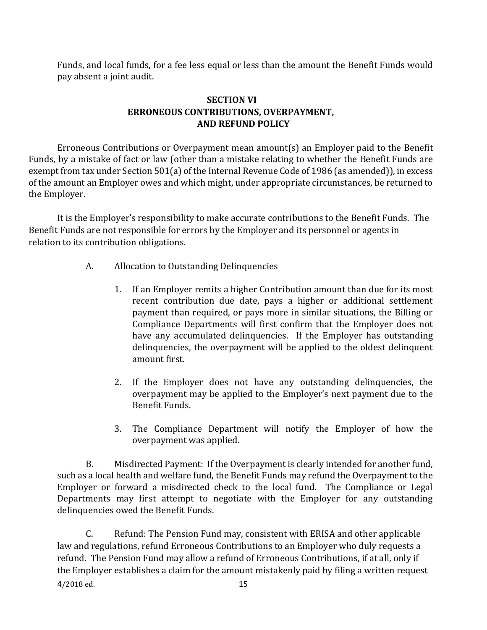Funds, and local funds, for a fee less equal or less than the amount the Benefit Funds would pay absent a joint audit.

#### **SECTION VI ERRONEOUS CONTRIBUTIONS, OVERPAYMENT, AND REFUND POLICY**

Erroneous Contributions or Overpayment mean amount(s) an Employer paid to the Benefit Funds, by a mistake of fact or law (other than a mistake relating to whether the Benefit Funds are exempt from tax under Section 501(a) of the Internal Revenue Code of 1986 (as amended)), in excess of the amount an Employer owes and which might, under appropriate circumstances, be returned to the Employer.

It is the Employer's responsibility to make accurate contributions to the Benefit Funds. The Benefit Funds are not responsible for errors by the Employer and its personnel or agents in relation to its contribution obligations.

- A. Allocation to Outstanding Delinquencies
	- 1. If an Employer remits a higher Contribution amount than due for its most recent contribution due date, pays a higher or additional settlement payment than required, or pays more in similar situations, the Billing or Compliance Departments will first confirm that the Employer does not have any accumulated delinquencies. If the Employer has outstanding delinquencies, the overpayment will be applied to the oldest delinquent amount first.
	- 2. If the Employer does not have any outstanding delinquencies, the overpayment may be applied to the Employer's next payment due to the Benefit Funds.
	- 3. The Compliance Department will notify the Employer of how the overpayment was applied.

B. Misdirected Payment: If the Overpayment is clearly intended for another fund, such as a local health and welfare fund, the Benefit Funds may refund the Overpayment to the Employer or forward a misdirected check to the local fund. The Compliance or Legal Departments may first attempt to negotiate with the Employer for any outstanding delinquencies owed the Benefit Funds.

4/2018 ed. 15 C. Refund: The Pension Fund may, consistent with ERISA and other applicable law and regulations, refund Erroneous Contributions to an Employer who duly requests a refund. The Pension Fund may allow a refund of Erroneous Contributions, if at all, only if the Employer establishes a claim for the amount mistakenly paid by filing a written request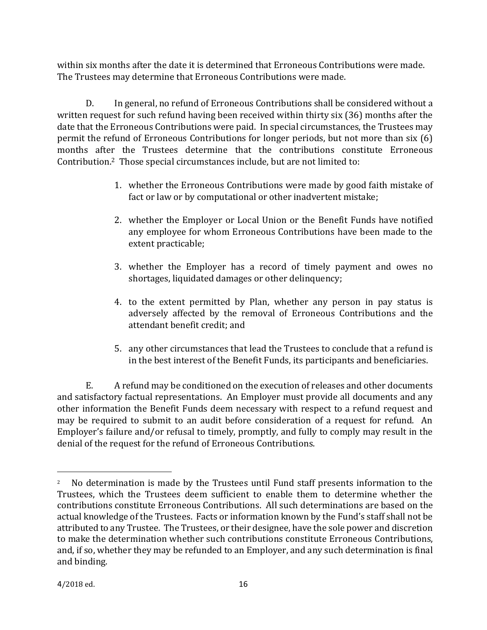within six months after the date it is determined that Erroneous Contributions were made. The Trustees may determine that Erroneous Contributions were made.

D. In general, no refund of Erroneous Contributions shall be considered without a written request for such refund having been received within thirty six (36) months after the date that the Erroneous Contributions were paid. In special circumstances, the Trustees may permit the refund of Erroneous Contributions for longer periods, but not more than six (6) months after the Trustees determine that the contributions constitute Erroneous Contribution.2 Those special circumstances include, but are not limited to:

- 1. whether the Erroneous Contributions were made by good faith mistake of fact or law or by computational or other inadvertent mistake;
- 2. whether the Employer or Local Union or the Benefit Funds have notified any employee for whom Erroneous Contributions have been made to the extent practicable;
- 3. whether the Employer has a record of timely payment and owes no shortages, liquidated damages or other delinquency;
- 4. to the extent permitted by Plan, whether any person in pay status is adversely affected by the removal of Erroneous Contributions and the attendant benefit credit; and
- 5. any other circumstances that lead the Trustees to conclude that a refund is in the best interest of the Benefit Funds, its participants and beneficiaries.

E. A refund may be conditioned on the execution of releases and other documents and satisfactory factual representations. An Employer must provide all documents and any other information the Benefit Funds deem necessary with respect to a refund request and may be required to submit to an audit before consideration of a request for refund. An Employer's failure and/or refusal to timely, promptly, and fully to comply may result in the denial of the request for the refund of Erroneous Contributions.

l

<sup>&</sup>lt;sup>2</sup> No determination is made by the Trustees until Fund staff presents information to the Trustees, which the Trustees deem sufficient to enable them to determine whether the contributions constitute Erroneous Contributions. All such determinations are based on the actual knowledge of the Trustees. Facts or information known by the Fund's staff shall not be attributed to any Trustee. The Trustees, or their designee, have the sole power and discretion to make the determination whether such contributions constitute Erroneous Contributions, and, if so, whether they may be refunded to an Employer, and any such determination is final and binding.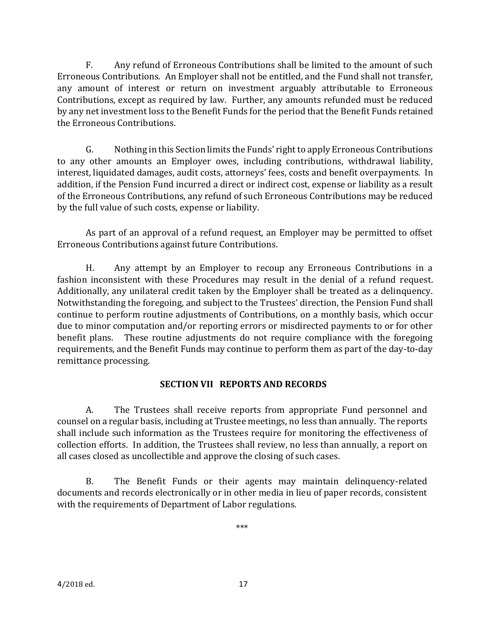F. Any refund of Erroneous Contributions shall be limited to the amount of such Erroneous Contributions. An Employer shall not be entitled, and the Fund shall not transfer, any amount of interest or return on investment arguably attributable to Erroneous Contributions, except as required by law. Further, any amounts refunded must be reduced by any net investment loss to the Benefit Funds for the period that the Benefit Funds retained the Erroneous Contributions.

G. Nothing in this Section limits the Funds' right to apply Erroneous Contributions to any other amounts an Employer owes, including contributions, withdrawal liability, interest, liquidated damages, audit costs, attorneys' fees, costs and benefit overpayments. In addition, if the Pension Fund incurred a direct or indirect cost, expense or liability as a result of the Erroneous Contributions, any refund of such Erroneous Contributions may be reduced by the full value of such costs, expense or liability.

As part of an approval of a refund request, an Employer may be permitted to offset Erroneous Contributions against future Contributions.

H. Any attempt by an Employer to recoup any Erroneous Contributions in a fashion inconsistent with these Procedures may result in the denial of a refund request. Additionally, any unilateral credit taken by the Employer shall be treated as a delinquency. Notwithstanding the foregoing, and subject to the Trustees' direction, the Pension Fund shall continue to perform routine adjustments of Contributions, on a monthly basis, which occur due to minor computation and/or reporting errors or misdirected payments to or for other benefit plans. These routine adjustments do not require compliance with the foregoing requirements, and the Benefit Funds may continue to perform them as part of the day-to-day remittance processing.

#### **SECTION VII REPORTS AND RECORDS**

A. The Trustees shall receive reports from appropriate Fund personnel and counsel on a regular basis, including at Trustee meetings, no less than annually. The reports shall include such information as the Trustees require for monitoring the effectiveness of collection efforts. In addition, the Trustees shall review, no less than annually, a report on all cases closed as uncollectible and approve the closing of such cases.

B. The Benefit Funds or their agents may maintain delinquency-related documents and records electronically or in other media in lieu of paper records, consistent with the requirements of Department of Labor regulations.

\*\*\*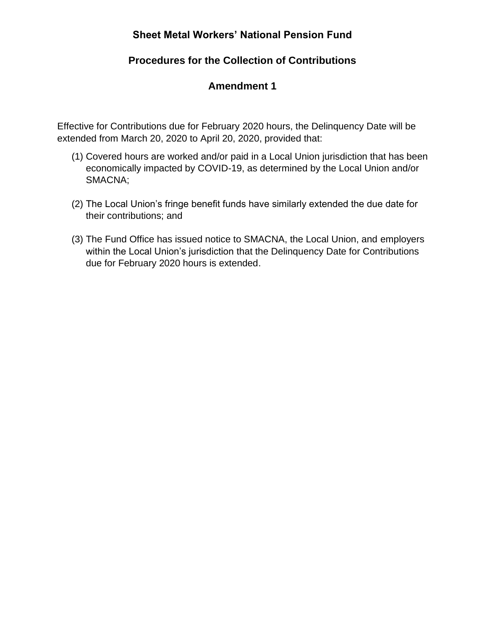## **Procedures for the Collection of Contributions**

## **Amendment 1**

Effective for Contributions due for February 2020 hours, the Delinquency Date will be extended from March 20, 2020 to April 20, 2020, provided that:

- (1) Covered hours are worked and/or paid in a Local Union jurisdiction that has been economically impacted by COVID-19, as determined by the Local Union and/or SMACNA;
- (2) The Local Union's fringe benefit funds have similarly extended the due date for their contributions; and
- (3) The Fund Office has issued notice to SMACNA, the Local Union, and employers within the Local Union's jurisdiction that the Delinquency Date for Contributions due for February 2020 hours is extended.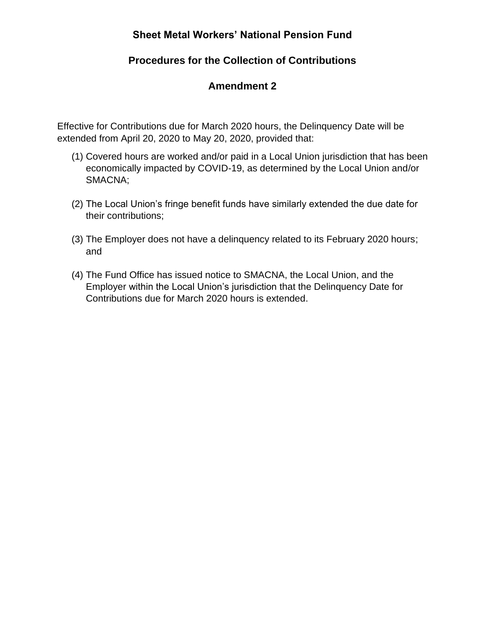## **Procedures for the Collection of Contributions**

### **Amendment 2**

Effective for Contributions due for March 2020 hours, the Delinquency Date will be extended from April 20, 2020 to May 20, 2020, provided that:

- (1) Covered hours are worked and/or paid in a Local Union jurisdiction that has been economically impacted by COVID-19, as determined by the Local Union and/or SMACNA;
- (2) The Local Union's fringe benefit funds have similarly extended the due date for their contributions;
- (3) The Employer does not have a delinquency related to its February 2020 hours; and
- (4) The Fund Office has issued notice to SMACNA, the Local Union, and the Employer within the Local Union's jurisdiction that the Delinquency Date for Contributions due for March 2020 hours is extended.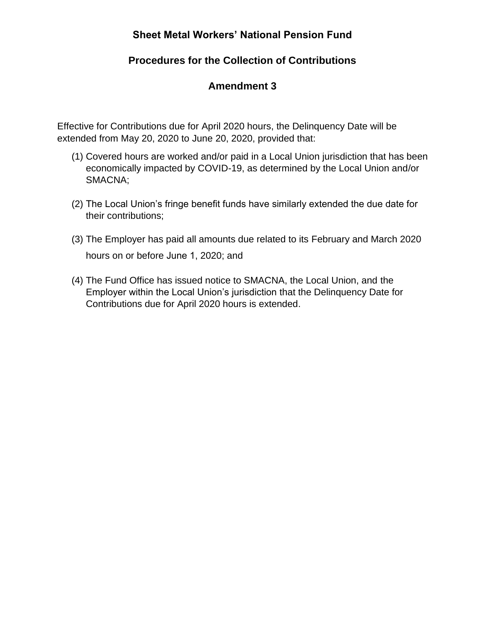## **Procedures for the Collection of Contributions**

## **Amendment 3**

Effective for Contributions due for April 2020 hours, the Delinquency Date will be extended from May 20, 2020 to June 20, 2020, provided that:

- (1) Covered hours are worked and/or paid in a Local Union jurisdiction that has been economically impacted by COVID-19, as determined by the Local Union and/or SMACNA;
- (2) The Local Union's fringe benefit funds have similarly extended the due date for their contributions;
- (3) The Employer has paid all amounts due related to its February and March 2020 hours on or before June 1, 2020; and
- (4) The Fund Office has issued notice to SMACNA, the Local Union, and the Employer within the Local Union's jurisdiction that the Delinquency Date for Contributions due for April 2020 hours is extended.